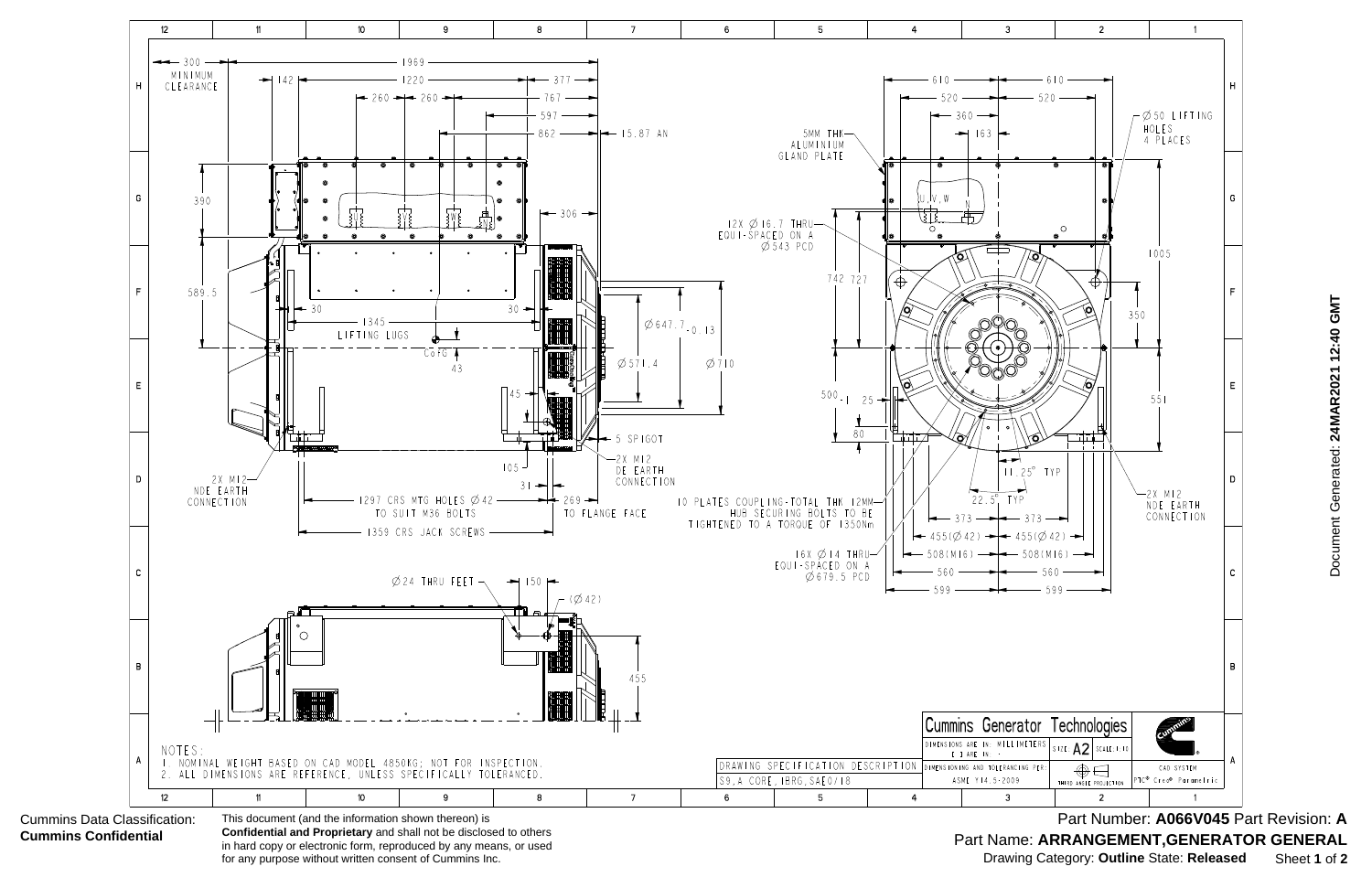

 Document Generated: **24MAR2021 12:40 GMT** Document Generated: 24MAR2021 12:40 GMT

Part Name: ARRANGEMENT, GENERATOR GENERAL Part Number: **A066V045** Part Revision: **A** Drawing Category: **Outline** State: **Released** Sheet **1** of **2**

**Confidential and Proprietary** and shall not be disclosed to others in hard copy or electronic form, reproduced by any means, or used for any purpose without written consent of Cummins Inc.